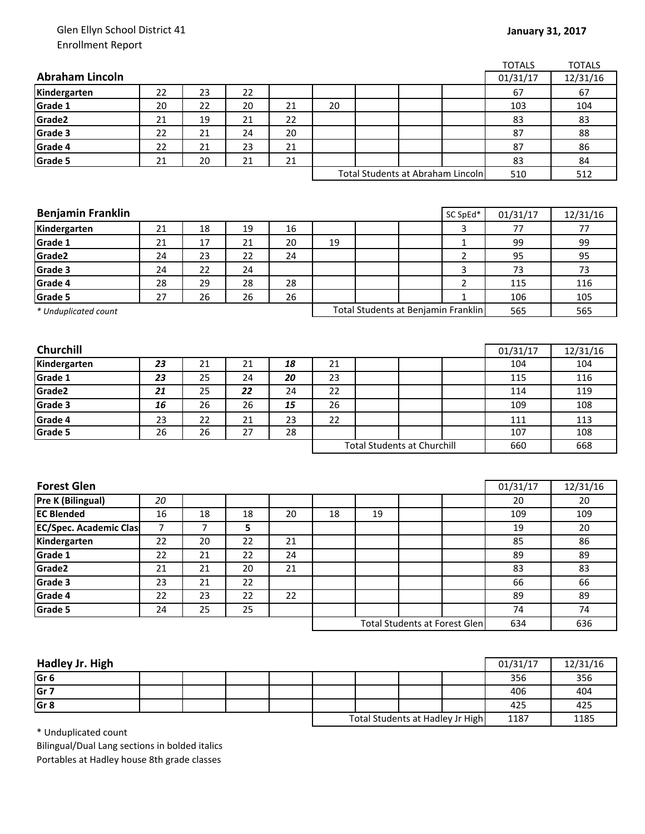## Glen Ellyn School District 41 Enrollment Report

|                          |                |    |    |    |    |    |                                      |                | <b>TOTALS</b> | <b>TOTALS</b> |
|--------------------------|----------------|----|----|----|----|----|--------------------------------------|----------------|---------------|---------------|
| <b>Abraham Lincoln</b>   |                |    |    |    |    |    |                                      |                | 01/31/17      | 12/31/16      |
| Kindergarten             | 22             | 23 | 22 |    |    |    |                                      |                | 67            | 67            |
| Grade 1                  | 20             | 22 | 20 | 21 | 20 |    |                                      |                | 103           | 104           |
| Grade2                   | 21             | 19 | 21 | 22 |    |    |                                      |                | 83            | 83            |
| Grade 3                  | 22             | 21 | 24 | 20 |    |    |                                      |                | 87            | 88            |
| Grade 4                  | 22             | 21 | 23 | 21 |    |    |                                      |                | 87            | 86            |
| Grade 5                  | 21             | 20 | 21 | 21 |    |    |                                      |                | 83            | 84            |
|                          |                |    |    |    |    |    | Total Students at Abraham Lincoln    |                | 510           | 512           |
|                          |                |    |    |    |    |    |                                      |                |               |               |
|                          |                |    |    |    |    |    |                                      |                |               |               |
| <b>Benjamin Franklin</b> |                |    |    |    |    |    |                                      | SC SpEd*       | 01/31/17      | 12/31/16      |
| Kindergarten             | 21             | 18 | 19 | 16 |    |    |                                      | 3              | 77            | 77            |
| Grade 1                  | 21             | 17 | 21 | 20 | 19 |    |                                      | 1              | 99            | 99            |
| Grade2                   | 24             | 23 | 22 | 24 |    |    |                                      | 2              | 95            | 95            |
| Grade 3                  | 24             | 22 | 24 |    |    |    |                                      | 3              | 73            | 73            |
| Grade 4                  | 28             | 29 | 28 | 28 |    |    |                                      | $\overline{2}$ | 115           | 116           |
| <b>Grade 5</b>           | 27             | 26 | 26 | 26 |    |    |                                      | $\mathbf{1}$   | 106           | 105           |
| * Unduplicated count     |                |    |    |    |    |    | Total Students at Benjamin Franklin  |                | 565           | 565           |
|                          |                |    |    |    |    |    |                                      |                |               |               |
|                          |                |    |    |    |    |    |                                      |                |               |               |
| <b>Churchill</b>         |                |    |    |    |    |    |                                      |                | 01/31/17      | 12/31/16      |
| Kindergarten             | 23             | 21 | 21 | 18 | 21 |    |                                      |                | 104           | 104           |
| Grade 1                  | 23             | 25 | 24 | 20 | 23 |    |                                      |                | 115           | 116           |
| Grade2                   | 21             | 25 | 22 | 24 | 22 |    |                                      |                | 114           | 119           |
| Grade 3                  | 16             | 26 | 26 | 15 | 26 |    |                                      |                | 109           | 108           |
| Grade 4                  | 23             | 22 | 21 | 23 | 22 |    |                                      |                | 111           | 113           |
| Grade 5                  | 26             | 26 | 27 | 28 |    |    |                                      |                | 107           | 108           |
|                          |                |    |    |    |    |    | <b>Total Students at Churchill</b>   |                | 660           | 668           |
|                          |                |    |    |    |    |    |                                      |                |               |               |
| <b>Forest Glen</b>       |                |    |    |    |    |    |                                      |                | 01/31/17      | 12/31/16      |
| Pre K (Bilingual)        | 20             |    |    |    |    |    |                                      |                | 20            | 20            |
| <b>EC Blended</b>        | 16             | 18 | 18 | 20 | 18 | 19 |                                      |                | 109           | 109           |
|                          | $\overline{7}$ | 7  | 5  |    |    |    |                                      |                | 19            | 20            |
| EC/Spec. Academic Clas   | 22             | 20 | 22 | 21 |    |    |                                      |                | 85            | 86            |
| Kindergarten<br>Grade 1  | 22             | 21 | 22 | 24 |    |    |                                      |                | 89            | 89            |
| Grade2                   | 21             | 21 | 20 | 21 |    |    |                                      |                | 83            | 83            |
| Grade 3                  | 23             | 21 | 22 |    |    |    |                                      |                | 66            | 66            |
| Grade 4                  | 22             | 23 | 22 | 22 |    |    |                                      |                | 89            | 89            |
| Grade 5                  | 24             | 25 | 25 |    |    |    |                                      |                | 74            | 74            |
|                          |                |    |    |    |    |    | <b>Total Students at Forest Glen</b> |                |               |               |
|                          |                |    |    |    |    |    |                                      |                | 634           | 636           |
|                          |                |    |    |    |    |    |                                      |                |               |               |

| Hadley Jr. High |  |  |                                  |  |  |      | 01/31/17 | 12/31/16 |
|-----------------|--|--|----------------------------------|--|--|------|----------|----------|
| lGr 6           |  |  |                                  |  |  |      | 356      | 356      |
| Gr 7            |  |  |                                  |  |  |      | 406      | 404      |
| Gr 8            |  |  |                                  |  |  |      | 425      | 425      |
|                 |  |  | Total Students at Hadley Jr High |  |  | 1187 | 1185     |          |

\* Unduplicated count

Bilingual/Dual Lang sections in bolded italics Portables at Hadley house 8th grade classes